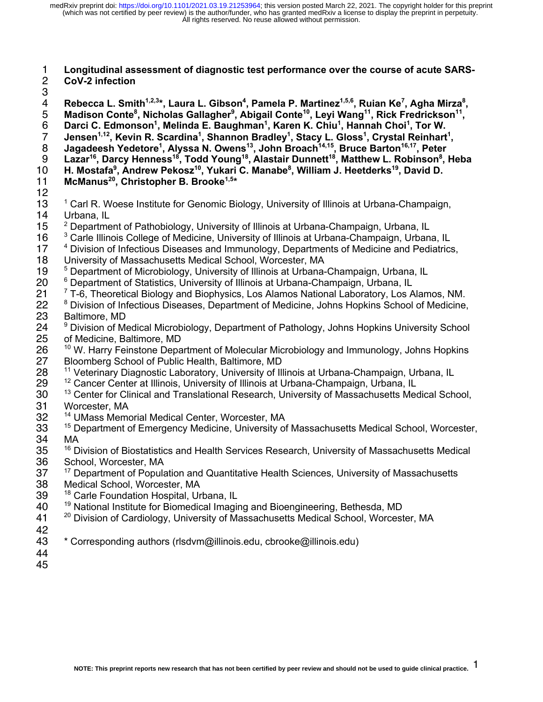#### 1 **Longitudinal assessment of diagnostic test performance over the course of acute SARS-**2 **CoV-2 infection**

3<br>4

4 Rebecca L. Smith<sup>1,2,3</sup>\*, Laura L. Gibson<sup>4</sup>, Pamela P. Martinez<sup>1,5,6</sup>, Ruian Ke<sup>7</sup>, Agha Mirza<sup>8</sup>,  $5$  Madison Conte<sup>8</sup>, Nicholas Gallagher<sup>9</sup>, Abigail Conte<sup>10</sup>, Leyi Wang<sup>11</sup>, Rick Fredrickson<sup>11</sup>, 6 Darci C. Edmonson<sup>1</sup>, Melinda E. Baughman<sup>1</sup>, Karen K. Chiu<sup>1</sup>, Hannah Choi<sup>1</sup>, Tor W. 7 Jensen<sup>1,12</sup>, Kevin R. Scardina<sup>1</sup>, Shannon Bradley<sup>1</sup>, Stacy L. Gloss<sup>1</sup>, Crystal Reinhart<sup>1</sup>, **Jagadeesh Yedetore<sup>1</sup> , Alyssa N. Owens13 , John Broach14,15 , Bruce Barton16,17** 8 **, Peter Lazar16 , Darcy Henness18 , Todd Young18 , Alastair Dunnett 18 , Matthew L. Robinson8** 9 **, Heba**  10 H. Mostafa<sup>9</sup>, Andrew Pekosz<sup>10</sup>, Yukari C. Manabe<sup>8</sup>, William J. Heetderks<sup>19</sup>, David D. 11 McManus<sup>20</sup>, Christopher B. Brooke<sup>1,5\*</sup> 12<br>13 13 <sup>1</sup> Carl R. Woese Institute for Genomic Biology, University of Illinois at Urbana-Champaign,<br>14 Urbana. IL Urbana, IL <sup>2</sup> Department of Pathobiology, University of Illinois at Urbana-Champaign, Urbana, IL <sup>3</sup> Carle Illinois College of Medicine, University of Illinois at Urbana-Champaign, Urbana, IL<br>17 <sup>4</sup> Division of Infectious Diseases and Immunology, Departments of Medicine and Pediatrics <sup>4</sup> Division of Infectious Diseases and Immunology, Departments of Medicine and Pediatrics, 18 University of Massachusetts Medical School, Worcester, MA<br>19 <sup>5</sup> Department of Microbiology, University of Illinois at Urbana-

- <sup>5</sup> Department of Microbiology, University of Illinois at Urbana-Champaign, Urbana, IL<br>20 <sup>6</sup> Department of Statistics, University of Illinois at Urbana-Champaign, Urbana, IL
- <sup>6</sup> Department of Statistics, University of Illinois at Urbana-Champaign, Urbana, IL<br>21 <sup>7</sup> T-6. Theoretical Biology and Biophysics. Los Alamos National Laboratory. Los A
- <sup>7</sup> T-6, Theoretical Biology and Biophysics, Los Alamos National Laboratory, Los Alamos, NM.<br>22 <sup>8</sup> Division of Infectious Diseases. Department of Medicine. Johns Hopkins School of Medicine. <sup>8</sup> Division of Infectious Diseases, Department of Medicine, Johns Hopkins School of Medicine, 23 Baltimore, MD
- 24 <sup>9</sup> Division of Medical Microbiology, Department of Pathology, Johns Hopkins University School 25 of Medicine, Baltimore, MD
- 26 <sup>10</sup> W. Harry Feinstone Department of Molecular Microbiology and Immunology, Johns Hopkins<br>27 Bloomberg School of Public Health, Baltimore, MD 27 Bloomberg School of Public Health, Baltimore, MD<br>28 <sup>11</sup> Veterinary Diagnostic Laboratory, University of Ill
- 28 <sup>11</sup> Veterinary Diagnostic Laboratory, University of Illinois at Urbana-Champaign, Urbana, IL<br>29 <sup>12</sup> Cancer Center at Illinois, University of Illinois at Urbana-Champaign, Urbana, IL
- $12$  Cancer Center at Illinois, University of Illinois at Urbana-Champaign, Urbana, IL
- 30 <sup>13</sup> Center for Clinical and Translational Research, University of Massachusetts Medical School, 31 Worcester, MA
- 32 <sup>14</sup> UMass Memorial Medical Center, Worcester, MA
- 33 <sup>15</sup> Department of Emergency Medicine, University of Massachusetts Medical School, Worcester, 34 MA
- 35 <sup>16</sup> Division of Biostatistics and Health Services Research, University of Massachusetts Medical
- 36 School, Worcester, MA<br>37 <sup>17</sup> Department of Popula <sup>17</sup> Department of Population and Quantitative Health Sciences, University of Massachusetts 38 Medical School, Worcester, MA
- 39 <sup>18</sup> Carle Foundation Hospital, Urbana, IL
- 19 National Institute for Biomedical Imaging and Bioengineering, Bethesda, MD
- 41 <sup>20</sup> Division of Cardiology, University of Massachusetts Medical School, Worcester, MA
- 42
- 43 \* Corresponding authors (rlsdvm@illinois.edu, cbrooke@illinois.edu)
- 44 45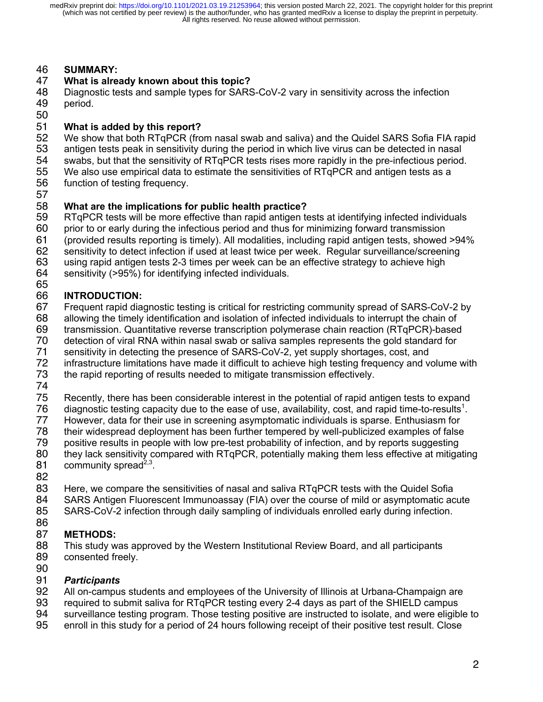### 46 **SUMMARY:**

### 47 **What is already known about this topic?**

48 Diagnostic tests and sample types for SARS-CoV-2 vary in sensitivity across the infection 49 period.

### 50<br>51 51 **What is added by this report?**

52 We show that both RTqPCR (from nasal swab and saliva) and the Quidel SARS Sofia FIA rapid<br>53 antigen tests peak in sensitivity during the period in which live virus can be detected in nasal

- 53 antigen tests peak in sensitivity during the period in which live virus can be detected in nasal<br>54 swabs, but that the sensitivity of RTqPCR tests rises more rapidly in the pre-infectious period
- 54 swabs, but that the sensitivity of RTqPCR tests rises more rapidly in the pre-infectious period.<br>55 We also use empirical data to estimate the sensitivities of RTqPCR and antigen tests as a 55 We also use empirical data to estimate the sensitivities of RTqPCR and antigen tests as a<br>56 function of testing frequency.
- function of testing frequency.
- 57

### 58 **What are the implications for public health practice?**

59 RTqPCR tests will be more effective than rapid antigen tests at identifying infected individuals

60 prior to or early during the infectious period and thus for minimizing forward transmission

61 (provided results reporting is timely). All modalities, including rapid antigen tests, showed >94%

62 sensitivity to detect infection if used at least twice per week. Regular surveillance/screening

63 using rapid antigen tests 2-3 times per week can be an effective strategy to achieve high

64 sensitivity (>95%) for identifying infected individuals.

#### 65<br>66 66 **INTRODUCTION:**

67 Frequent rapid diagnostic testing is critical for restricting community spread of SARS-CoV-2 by

68 allowing the timely identification and isolation of infected individuals to interrupt the chain of

- 69 transmission. Quantitative reverse transcription polymerase chain reaction (RTqPCR)-based
- 70 detection of viral RNA within nasal swab or saliva samples represents the gold standard for<br>71 sensitivity in detecting the presence of SARS-CoV-2, yet supply shortages, cost, and
- sensitivity in detecting the presence of SARS-CoV-2, yet supply shortages, cost, and
- 72 infrastructure limitations have made it difficult to achieve high testing frequency and volume with 73 the rapid reporting of results needed to mitigate transmission effectively.
- the rapid reporting of results needed to mitigate transmission effectively.
- 74

75 Recently, there has been considerable interest in the potential of rapid antigen tests to expand<br>76 diagnostic testing capacity due to the ease of use, availability, cost, and rapid time-to-results<sup>1</sup>.

T6 diagnostic testing capacity due to the ease of use, availability, cost, and rapid time-to-results<sup>1</sup>.<br>T7 Bowever, data for their use in screening asymptomatic individuals is sparse. Enthusiasm for

- 77 However, data for their use in screening asymptomatic individuals is sparse. Enthusiasm for<br>78 their widespread deployment has been further tempered by well-publicized examples of false
- 78 their widespread deployment has been further tempered by well-publicized examples of false<br>79 positive results in people with low pre-test probability of infection, and by reports suggesting
- 79 positive results in people with low pre-test probability of infection, and by reports suggesting
- they lack sensitivity compared with RTqPCR, potentially making them less effective at mitigating 81 community spread<sup>2,3</sup>.
- 82

83 Here, we compare the sensitivities of nasal and saliva RTqPCR tests with the Quidel Sofia 84 SARS Antigen Fluorescent Immunoassay (FIA) over the course of mild or asymptomatic acute 85 SARS-CoV-2 infection through daily sampling of individuals enrolled early during infection.

86

# 87 **METHODS:**

88 This study was approved by the Western Institutional Review Board, and all participants 89 consented freely.

90<br>91

### **Participants**

- 92 All on-campus students and employees of the University of Illinois at Urbana-Champaign are
- 93 required to submit saliva for RTqPCR testing every 2-4 days as part of the SHIELD campus<br>94 surveillance testing program. Those testing positive are instructed to isolate, and were eligib
- surveillance testing program. Those testing positive are instructed to isolate, and were eligible to
- 95 enroll in this study for a period of 24 hours following receipt of their positive test result. Close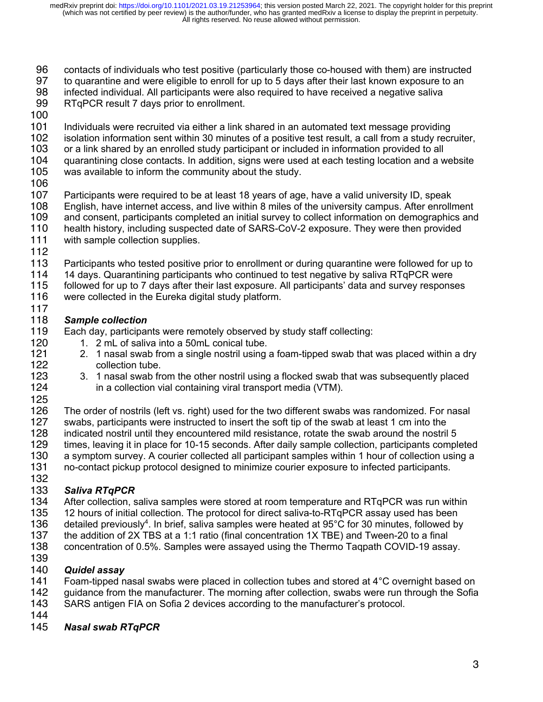- 96 contacts of individuals who test positive (particularly those co-housed with them) are instructed
- 97 to quarantine and were eligible to enroll for up to 5 days after their last known exposure to an
- 98 infected individual. All participants were also required to have received a negative saliva
- 99 RTqPCR result 7 days prior to enrollment.
- 100
- 101 Individuals were recruited via either a link shared in an automated text message providing<br>102 isolation information sent within 30 minutes of a positive test result, a call from a study reci
- 102 isolation information sent within 30 minutes of a positive test result, a call from a study recruiter,<br>103 or a link shared by an enrolled study participant or included in information provided to all
- 103 or a link shared by an enrolled study participant or included in information provided to all<br>104 guarantining close contacts. In addition, signs were used at each testing location and a w
- 104 quarantining close contacts. In addition, signs were used at each testing location and a website 105 was available to inform the community about the study.
- was available to inform the community about the study.
- 106
- 107 Participants were required to be at least 18 years of age, have a valid university ID, speak<br>108 English, have internet access, and live within 8 miles of the university campus. After enrollr 108 English, have internet access, and live within 8 miles of the university campus. After enrollment 109 and consent, participants completed an initial survey to collect information on demographics and and consent, participants completed an initial survey to collect information on demographics and 110 health history, including suspected date of SARS-CoV-2 exposure. They were then provided
- 111 with sample collection supplies.
- 112
- Participants who tested positive prior to enrollment or during quarantine were followed for up to
- 114 14 days. Quarantining participants who continued to test negative by saliva RTqPCR were
- 115 followed for up to 7 days after their last exposure. All participants' data and survey responses
- 116 were collected in the Eureka digital study platform. 117

# 118 *Sample collection*

- 119 Each day, participants were remotely observed by study staff collecting:<br>120 1. 2 mL of saliva into a 50mL conical tube.
	- 1. 2 mL of saliva into a 50mL conical tube.
- 121 2. 1 nasal swab from a single nostril using a foam-tipped swab that was placed within a dry<br>122 collection tube. collection tube.
- 123 3. 1 nasal swab from the other nostril using a flocked swab that was subsequently placed<br>124 in a collection vial containing viral transport media (VTM). in a collection vial containing viral transport media (VTM).
- 125<br>126

126 The order of nostrils (left vs. right) used for the two different swabs was randomized. For nasal<br>127 swabs, participants were instructed to insert the soft tip of the swab at least 1 cm into the 127 swabs, participants were instructed to insert the soft tip of the swab at least 1 cm into the 128 indicated nostril until they encountered mild resistance, rotate the swab around the nostril indicated nostril until they encountered mild resistance, rotate the swab around the nostril 5 129 times, leaving it in place for 10-15 seconds. After daily sample collection, participants completed 130 a symptom survey. A courier collected all participant samples within 1 hour of collection using a 131 no-contact pickup protocol designed to minimize courier exposure to infected participants. 132

# 133 *Saliva RTqPCR*

- 134 After collection, saliva samples were stored at room temperature and RTqPCR was run within
- 135 12 hours of initial collection. The protocol for direct saliva-to-RTqPCR assay used has been<br>136 detailed previously<sup>4</sup>. In brief, saliva samples were heated at 95°C for 30 minutes, followed by detailed previously<sup>4</sup>. In brief, saliva samples were heated at  $95^{\circ}$ C for 30 minutes, followed by
- 
- 137 the addition of 2X TBS at a 1:1 ratio (final concentration 1X TBE) and Tween-20 to a final<br>138 concentration of 0.5%. Samples were assayed using the Thermo Tagpath COVID-19 assa 138 concentration of 0.5%. Samples were assayed using the Thermo Taqpath COVID-19 assay.
- 139

# **Quidel assay**

- 141 Foam-tipped nasal swabs were placed in collection tubes and stored at 4<sup>°</sup>C overnight based on 142 guidance from the manufacturer. The morning after collection, swabs were run through the Sofia<br>143 SARS antigen FIA on Sofia 2 devices according to the manufacturer's protocol.
- SARS antigen FIA on Sofia 2 devices according to the manufacturer's protocol.
- 144

### 145 *Nasal swab RTqPCR*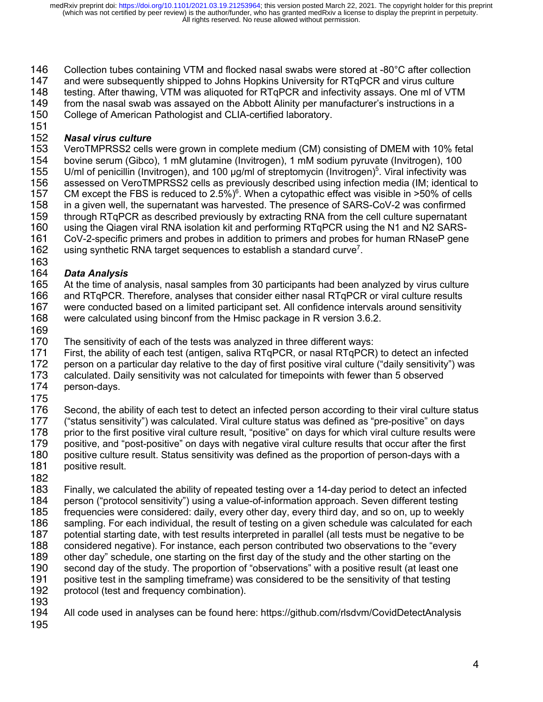- 146 Collection tubes containing VTM and flocked nasal swabs were stored at -80°C after collection
- 147 and were subsequently shipped to Johns Hopkins University for RTqPCR and virus culture
- 148 testing. After thawing, VTM was aliquoted for RTqPCR and infectivity assays. One ml of VTM
- 149 from the nasal swab was assayed on the Abbott Alinity per manufacturer's instructions in a
- 150 College of American Pathologist and CLIA-certified laboratory.
- 151<br>152

# 152 *Nasal virus culture*

153 VeroTMPRSS2 cells were grown in complete medium (CM) consisting of DMEM with 10% fetal<br>154 bovine serum (Gibco), 1 mM glutamine (Invitrogen), 1 mM sodium pyruvate (Invitrogen), 100

- 154 bovine serum (Gibco), 1 mM glutamine (Invitrogen), 1 mM sodium pyruvate (Invitrogen), 100<br>155 U/ml of penicillin (Invitrogen), and 100 µg/ml of streptomycin (Invitrogen)<sup>5</sup>. Viral infectivity was
- 155 U/ml of penicillin (Invitrogen), and 100 μg/ml of streptomycin (Invitrogen)<sup>5</sup>. Viral infectivity was 156 assessed on VeroTMPRSS2 cells as previously described using infection media (IM: identical assessed on VeroTMPRSS2 cells as previously described using infection media (IM; identical to
- 157 CM except the FBS is reduced to 2.5%)<sup>6</sup>. When a cytopathic effect was visible in >50% of cells 158 in a given well, the supernatant was harvested. The presence of SARS-CoV-2 was confirmed
- in a given well, the supernatant was harvested. The presence of SARS-CoV-2 was confirmed
- 159 through RTqPCR as described previously by extracting RNA from the cell culture supernatant
- 160 using the Qiagen viral RNA isolation kit and performing RTqPCR using the N1 and N2 SARS-<br>161 CoV-2-specific primers and probes in addition to primers and probes for human RNaseP gene
- 161 CoV-2-specific primers and probes in addition to primers and probes for human RNaseP gene<br>162 using synthetic RNA target sequences to establish a standard curve<sup>7</sup>. using synthetic RNA target sequences to establish a standard curve<sup>7</sup>.
- 

# 163<br>164 164 *Data Analysis*

- 165 At the time of analysis, nasal samples from 30 participants had been analyzed by virus culture<br>166 and RTqPCR. Therefore, analyses that consider either nasal RTqPCR or viral culture results
- and RTqPCR. Therefore, analyses that consider either nasal RTqPCR or viral culture results
- 167 were conducted based on a limited participant set. All confidence intervals around sensitivity
- 168 were calculated using binconf from the Hmisc package in R version 3.6.2.
- 169<br>170
- 170 The sensitivity of each of the tests was analyzed in three different ways:<br>171 First, the ability of each test (antigen, saliva RTgPCR, or nasal RTgPCR)
- 171 First, the ability of each test (antigen, saliva RTqPCR, or nasal RTqPCR) to detect an infected<br>172 person on a particular day relative to the day of first positive viral culture ("daily sensitivity") was
- 172 person on a particular day relative to the day of first positive viral culture ("daily sensitivity") was<br>173 calculated. Daily sensitivity was not calculated for timepoints with fewer than 5 observed
- calculated. Daily sensitivity was not calculated for timepoints with fewer than 5 observed
- 174 person-days.
- 175 176 Second, the ability of each test to detect an infected person according to their viral culture status 177 ("status sensitivity") was calculated. Viral culture status was defined as "pre-positive" on days
- 
- 178 prior to the first positive viral culture result, "positive" on days for which viral culture results were<br>179 positive, and "post-positive" on days with negative viral culture results that occur after the first 179 positive, and "post-positive" on days with negative viral culture results that occur after the first
- 180 positive culture result. Status sensitivity was defined as the proportion of person-days with a
- 181 positive result.
- 182

183 Finally, we calculated the ability of repeated testing over a 14-day period to detect an infected<br>184 person ("protocol sensitivity") using a value-of-information approach. Seven different testing 184 person ("protocol sensitivity") using a value-of-information approach. Seven different testing<br>185 frequencies were considered: daily, every other day, every third day, and so on, up to weekl 185 frequencies were considered: daily, every other day, every third day, and so on, up to weekly<br>186 sampling. For each individual, the result of testing on a given schedule was calculated for eac 186 sampling. For each individual, the result of testing on a given schedule was calculated for each<br>187 potential starting date, with test results interpreted in parallel (all tests must be negative to be 187 potential starting date, with test results interpreted in parallel (all tests must be negative to be 188 considered negative). For instance, each person contributed two observations to the "every 189 other day" schedule, one starting on the first day of the study and the other starting on the<br>190 second day of the study. The proportion of "observations" with a positive result (at least on 190 second day of the study. The proportion of "observations" with a positive result (at least one<br>191 positive test in the sampling timeframe) was considered to be the sensitivity of that testing 191 positive test in the sampling timeframe) was considered to be the sensitivity of that testing<br>192 protocol (test and frequency combination). protocol (test and frequency combination).

- 
- 193<br>194 All code used in analyses can be found here: https://github.com/rlsdvm/CovidDetectAnalysis
- 195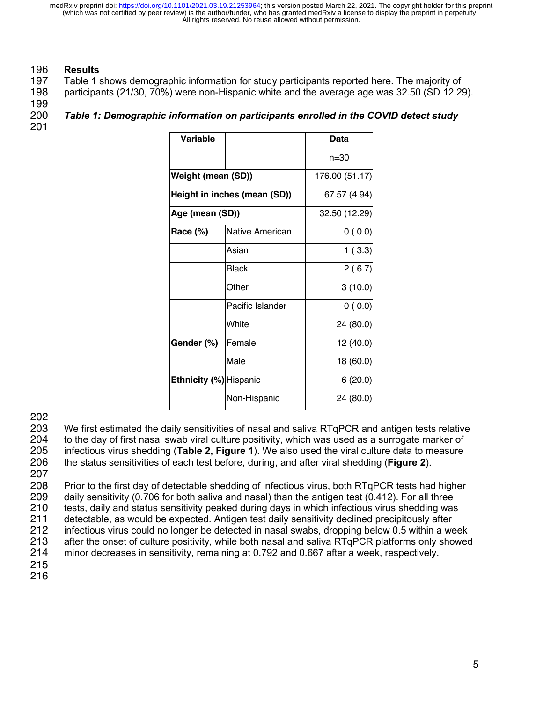### 196 **Results**

197 Table 1 shows demographic information for study participants reported here. The majority of

198 participants (21/30, 70%) were non-Hispanic white and the average age was 32.50 (SD 12.29).

199

| 200 | Table 1: Demographic information on participants enrolled in the COVID detect study |
|-----|-------------------------------------------------------------------------------------|
| 201 |                                                                                     |

| <b>Variable</b>        |                              | <b>Data</b>    |  |  |  |
|------------------------|------------------------------|----------------|--|--|--|
|                        |                              | $n = 30$       |  |  |  |
| Weight (mean (SD))     |                              | 176.00 (51.17) |  |  |  |
|                        | Height in inches (mean (SD)) | 67.57 (4.94)   |  |  |  |
| Age (mean (SD))        |                              | 32.50 (12.29)  |  |  |  |
| Race (%)               | Native American              | 0(0.0)         |  |  |  |
|                        | Asian                        | 1(3.3)         |  |  |  |
|                        | <b>Black</b>                 | 2(6.7)         |  |  |  |
|                        | Other                        | 3(10.0)        |  |  |  |
|                        | Pacific Islander             | 0(0.0)         |  |  |  |
|                        | White                        | 24 (80.0)      |  |  |  |
| Gender (%)             | Female                       | 12 (40.0)      |  |  |  |
|                        | Male                         | 18 (60.0)      |  |  |  |
| Ethnicity (%) Hispanic |                              | 6(20.0)        |  |  |  |
|                        | Non-Hispanic                 | 24 (80.0)      |  |  |  |

202

203 We first estimated the daily sensitivities of nasal and saliva RTqPCR and antigen tests relative<br>204 to the day of first nasal swab viral culture positivity, which was used as a surrogate marker of to the day of first nasal swab viral culture positivity, which was used as a surrogate marker of 205 infectious virus shedding (**Table 2, Figure 1**). We also used the viral culture data to measure 206 the status sensitivities of each test before, during, and after viral shedding (**Figure 2**).

207 208 Prior to the first day of detectable shedding of infectious virus, both RTqPCR tests had higher<br>209 daily sensitivity (0.706 for both saliva and nasal) than the antigen test (0.412). For all three 209 daily sensitivity (0.706 for both saliva and nasal) than the antigen test (0.412). For all three<br>210 tests, daily and status sensitivity peaked during days in which infectious virus shedding was 210 tests, daily and status sensitivity peaked during days in which infectious virus shedding was<br>211 detectable, as would be expected. Antigen test daily sensitivity declined precipitously after detectable, as would be expected. Antigen test daily sensitivity declined precipitously after 212 infectious virus could no longer be detected in nasal swabs, dropping below 0.5 within a week 213 after the onset of culture positivity, while both nasal and saliva RTqPCR platforms only showed 214 minor decreases in sensitivity, remaining at 0.792 and 0.667 after a week, respectively. 215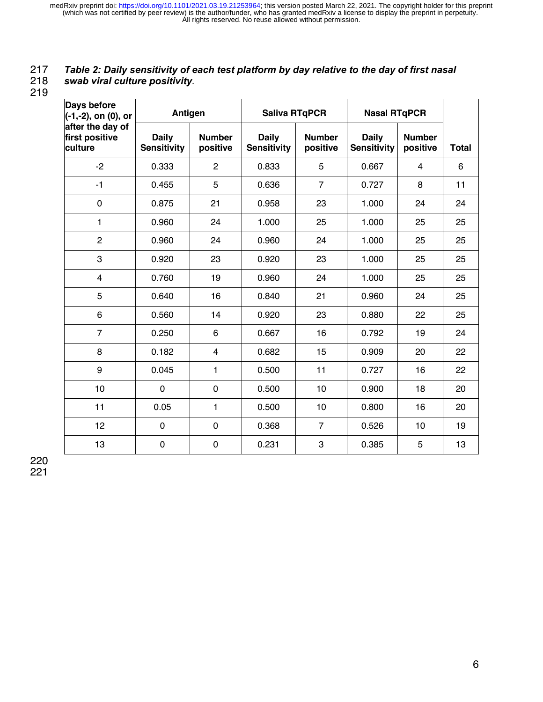# 217 *Table 2: Daily sensitivity of each test platform by day relative to the day of first nasal*

218 *swab viral culture positivity.*

219

| Days before<br>(-1,-2), on (0), or            | Antigen                            |                           | <b>Saliva RTqPCR</b>               |                           | <b>Nasal RTqPCR</b>                |                           |              |
|-----------------------------------------------|------------------------------------|---------------------------|------------------------------------|---------------------------|------------------------------------|---------------------------|--------------|
| after the day of<br>first positive<br>culture | <b>Daily</b><br><b>Sensitivity</b> | <b>Number</b><br>positive | <b>Daily</b><br><b>Sensitivity</b> | <b>Number</b><br>positive | <b>Daily</b><br><b>Sensitivity</b> | <b>Number</b><br>positive | <b>Total</b> |
| $-2$                                          | 0.333                              | $\overline{c}$            | 0.833                              | 5                         | 0.667                              | 4                         | 6            |
| $-1$                                          | 0.455                              | 5                         | 0.636                              | $\overline{7}$            | 0.727                              | 8                         | 11           |
| $\pmb{0}$                                     | 0.875                              | 21                        | 0.958                              | 23                        | 1.000                              | 24                        | 24           |
| $\mathbf{1}$                                  | 0.960                              | 24                        | 1.000                              | 25                        | 1.000                              | 25                        | 25           |
| $\overline{2}$                                | 0.960                              | 24                        | 0.960                              | 24                        | 1.000                              | 25                        | 25           |
| 3                                             | 0.920                              | 23                        | 0.920                              | 23                        | 1.000                              | 25                        | 25           |
| $\overline{\mathbf{4}}$                       | 0.760                              | 19                        | 0.960                              | 24                        | 1.000                              | 25                        | 25           |
| 5                                             | 0.640                              | 16                        | 0.840                              | 21                        | 0.960                              | 24                        | 25           |
| 6                                             | 0.560                              | 14                        | 0.920                              | 23                        | 0.880                              | 22                        | 25           |
| $\overline{7}$                                | 0.250                              | 6                         | 0.667                              | 16                        | 0.792                              | 19                        | 24           |
| 8                                             | 0.182                              | $\overline{\mathbf{4}}$   | 0.682                              | 15                        | 0.909                              | 20                        | 22           |
| 9                                             | 0.045                              | 1                         | 0.500                              | 11                        | 0.727                              | 16                        | 22           |
| 10                                            | $\mathbf 0$                        | $\mathbf 0$               | 0.500                              | 10                        | 0.900                              | 18                        | 20           |
| 11                                            | 0.05                               | 1                         | 0.500                              | 10                        | 0.800                              | 16                        | 20           |
| 12                                            | 0                                  | $\mathbf 0$               | 0.368                              | $\overline{7}$            | 0.526                              | 10                        | 19           |
| 13                                            | $\mathbf 0$                        | $\mathbf 0$               | 0.231                              | 3                         | 0.385                              | 5                         | 13           |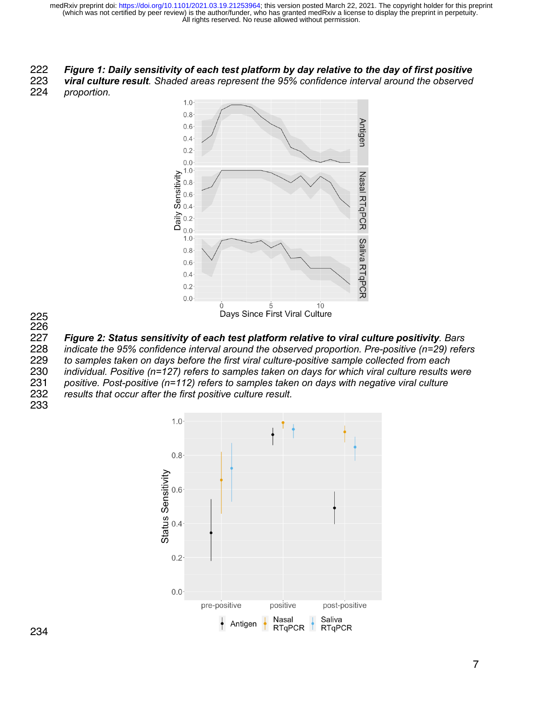# *Figure 1: Daily sensitivity of each test platform by day relative to the day of first positive*

 *viral culture result. Shaded areas represent the 95% confidence interval around the observed proportion.*



 *Figure 2: Status sensitivity of each test platform relative to viral culture positivity. Bars indicate the 95% confidence interval around the observed proportion. Pre-positive (n=29) refers* 

 *to samples taken on days before the first viral culture-positive sample collected from each individual. Positive (n=127) refers to samples taken on days for which viral culture results were positive. Post-positive (n=112) refers to samples taken on days with negative viral culture results that occur after the first positive culture result.*

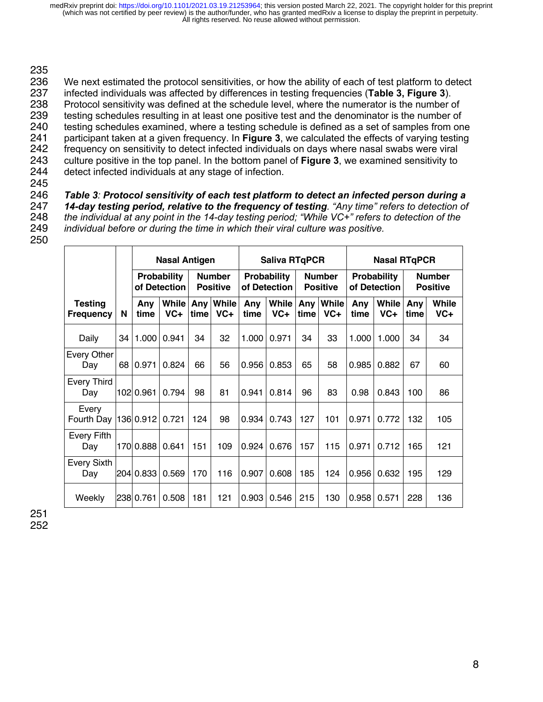### 235

236 We next estimated the protocol sensitivities, or how the ability of each of test platform to detect 237 infected individuals was affected by differences in testing frequencies (Table 3, Figure 3). 237 infected individuals was affected by differences in testing frequencies (**Table 3, Figure 3**). 238 Protocol sensitivity was defined at the schedule level, where the numerator is the number of 239 testing schedules resulting in at least one positive test and the denominator is the number of 240 testing schedules examined, where a testing schedules from on testing schedules examined, where a testing schedule is defined as a set of samples from one 241 participant taken at a given frequency. In **Figure 3**, we calculated the effects of varying testing 242 frequency on sensitivity to detect infected individuals on days where nasal swabs were viral<br>243 culture positive in the top panel. In the bottom panel of **Figure 3**, we examined sensitivity to 243 culture positive in the top panel. In the bottom panel of **Figure 3**, we examined sensitivity to detect infected individuals at any stage of infection.

245

 *Table 3: Protocol sensitivity of each test platform to detect an infected person during a 14-day testing period, relative to the frequency of testing. "Any time" refers to detection of the individual at any point in the 14-day testing period; "While VC+" refers to detection of the individual before or during the time in which their viral culture was positive.*

250

|                                    |    | <b>Nasal Antigen</b>               |                |                                  |                       | <b>Saliva RTqPCR</b>               |                       |                                  |                       | <b>Nasal RTqPCR</b>                |                |                                  |                |
|------------------------------------|----|------------------------------------|----------------|----------------------------------|-----------------------|------------------------------------|-----------------------|----------------------------------|-----------------------|------------------------------------|----------------|----------------------------------|----------------|
|                                    |    | <b>Probability</b><br>of Detection |                | <b>Number</b><br><b>Positive</b> |                       | <b>Probability</b><br>of Detection |                       | <b>Number</b><br><b>Positive</b> |                       | <b>Probability</b><br>of Detection |                | <b>Number</b><br><b>Positive</b> |                |
| <b>Testing</b><br><b>Frequency</b> | N  | Any<br>time                        | While<br>$VC+$ |                                  | Any While<br>time VC+ | Any<br>time                        | <b>While</b><br>$VC+$ | Any<br>time                      | <b>While</b><br>$VC+$ | Any<br>time                        | While<br>$VC+$ | Any<br>time                      | While<br>$VC+$ |
| Daily                              | 34 | 1.000                              | 0.941          | 34                               | 32                    | 1.000                              | 0.971                 | 34                               | 33                    | 1.000                              | 1.000          | 34                               | 34             |
| Every Other<br>Day                 | 68 | 0.971                              | 0.824          | 66                               | 56                    | 0.956                              | 0.853                 | 65                               | 58                    | 0.985                              | 0.882          | 67                               | 60             |
| <b>Every Third</b><br>Day          |    | 102 0.961                          | 0.794          | 98                               | 81                    | 0.941                              | 0.814                 | 96                               | 83                    | 0.98                               | 0.843          | 100                              | 86             |
| Every<br>Fourth Day                |    | 136 0.912                          | 0.721          | 124                              | 98                    | 0.934                              | 0.743                 | 127                              | 101                   | 0.971                              | 0.772          | 132                              | 105            |
| Every Fifth<br>Day                 |    | 170 0.888                          | 0.641          | 151                              | 109                   | 0.924                              | 0.676                 | 157                              | 115                   | 0.971                              | 0.712          | 165                              | 121            |
| <b>Every Sixth</b><br>Day          |    | 204 0.833                          | 0.569          | 170                              | 116                   | 0.907                              | 0.608                 | 185                              | 124                   | 0.956                              | 0.632          | 195                              | 129            |
| Weekly                             |    | 238 0.761                          | 0.508          | 181                              | 121                   | 0.903                              | 0.546                 | 215                              | 130                   | 0.958                              | 0.571          | 228                              | 136            |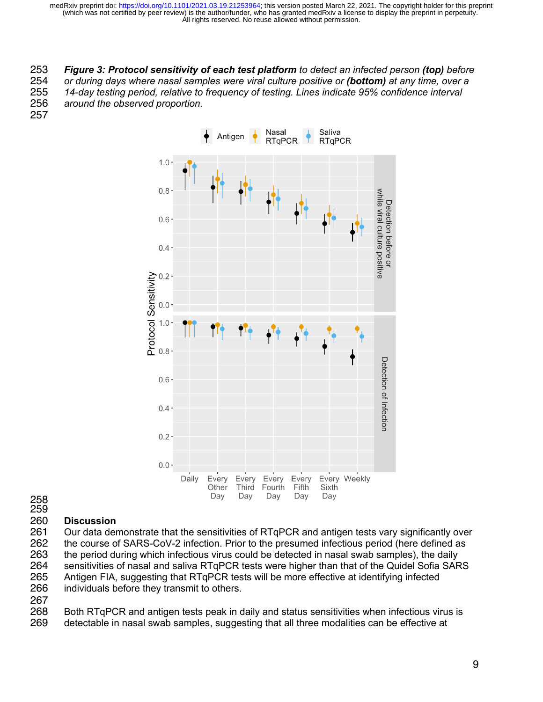*Figure 3: Protocol sensitivity of each test platform to detect an infected person (top) before or during days where nasal samples were viral culture positive or (bottom) at any time, over a 14-day testing period, relative to frequency of testing. Lines indicate 95% confidence interval around the observed proportion.*



 **Discussion** Our data demonstrate that the sensitivities of RTqPCR and antigen tests vary significantly over the course of SARS-CoV-2 infection. Prior to the presumed infectious period (here defined as 263 the period during which infectious virus could be detected in nasal swab samples), the daily<br>264 sensitivities of nasal and saliva RTqPCR tests were higher than that of the Quidel Sofia SAF 264 sensitivities of nasal and saliva RTqPCR tests were higher than that of the Quidel Sofia SARS<br>265 Antigen FIA, suggesting that RTgPCR tests will be more effective at identifying infected Antigen FIA, suggesting that RTqPCR tests will be more effective at identifying infected individuals before they transmit to others.

268 Both RTqPCR and antigen tests peak in daily and status sensitivities when infectious virus is<br>269 detectable in nasal swab samples, suggesting that all three modalities can be effective at detectable in nasal swab samples, suggesting that all three modalities can be effective at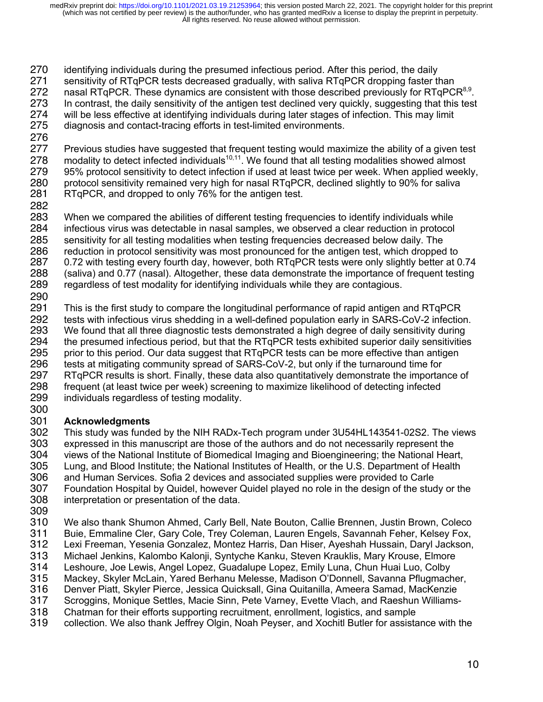270 identifying individuals during the presumed infectious period. After this period, the daily

- 271 sensitivity of RTqPCR tests decreased gradually, with saliva RTqPCR dropping faster than
- 272 nasal RTqPCR. These dynamics are consistent with those described previously for RTqPCR $8.9$ .
- 273 In contrast, the daily sensitivity of the antigen test declined very quickly, suggesting that this test 274 will be less effective at identifying individuals during later stages of infection. This may limit 275 diagnosis and contact-tracing efforts in test-limited environments. diagnosis and contact-tracing efforts in test-limited environments.
- 276

277 Previous studies have suggested that frequent testing would maximize the ability of a given test 278 modality to detect infected individuals<sup>10,11</sup>. We found that all testing modalities showed almost 278 modality to detect infected individuals<sup>10,11</sup>. We found that all testing modalities showed almost 279 95% protocol sensitivity to detect infection if used at least twice per week. When applied week 279 95% protocol sensitivity to detect infection if used at least twice per week. When applied weekly, 280 protocol sensitivity remained very high for nasal RTqPCR, declined slightly to 90% for saliva 280 protocol sensitivity remained very high for nasal RTqPCR, declined slightly to 90% for saliva<br>281 RTqPCR, and dropped to only 76% for the antigen test. RTqPCR, and dropped to only 76% for the antigen test.

282

 When we compared the abilities of different testing frequencies to identify individuals while infectious virus was detectable in nasal samples, we observed a clear reduction in protocol sensitivity for all testing modalities when testing frequencies decreased below daily. The reduction in protocol sensitivity was most pronounced for the antigen test, which dropped to 0.72 with testing every fourth day, however, both RTqPCR tests were only slightly better at 0.74 (saliva) and 0.77 (nasal). Altogether, these data demonstrate the importance of frequent testing regardless of test modality for identifying individuals while they are contagious.

290<br>291

291 This is the first study to compare the longitudinal performance of rapid antigen and RTqPCR 292 tests with infectious virus shedding in a well-defined population early in SARS-CoV-2 infection. 293 We found that all three diagnostic tests demonstrated a high degree of daily sensitivity during<br>294 the presumed infectious period, but that the RTqPCR tests exhibited superior daily sensitivities 294 the presumed infectious period, but that the RTqPCR tests exhibited superior daily sensitivities<br>295 prior to this period. Our data suggest that RTgPCR tests can be more effective than antigen 295 prior to this period. Our data suggest that RTqPCR tests can be more effective than antigen<br>296 tests at mitigating community spread of SARS-CoV-2, but only if the turnaround time for 296 tests at mitigating community spread of SARS-CoV-2, but only if the turnaround time for<br>297 RTqPCR results is short. Finally, these data also quantitatively demonstrate the importar RTqPCR results is short. Finally, these data also quantitatively demonstrate the importance of 298 frequent (at least twice per week) screening to maximize likelihood of detecting infected 299 individuals regardless of testing modality.

### 300<br>301 301 **Acknowledgments**

302 This study was funded by the NIH RADx-Tech program under 3U54HL143541-02S2. The views<br>303 expressed in this manuscript are those of the authors and do not necessarily represent the expressed in this manuscript are those of the authors and do not necessarily represent the 304 views of the National Institute of Biomedical Imaging and Bioengineering; the National Heart, 305 Lung, and Blood Institute; the National Institutes of Health, or the U.S. Department of Health<br>306 and Human Services. Sofia 2 devices and associated supplies were provided to Carle and Human Services. Sofia 2 devices and associated supplies were provided to Carle 307 Foundation Hospital by Quidel, however Quidel played no role in the design of the study or the 308 interpretation or presentation of the data.

309<br>310

310 We also thank Shumon Ahmed, Carly Bell, Nate Bouton, Callie Brennen, Justin Brown, Coleco 311 Buie, Emmaline Cler, Gary Cole, Trey Coleman, Lauren Engels, Savannah Feher, Kelsey Fox,<br>312 Lexi Freeman, Yesenia Gonzalez, Montez Harris, Dan Hiser, Ayeshah Hussain, Daryl Jackson, 312 Lexi Freeman, Yesenia Gonzalez, Montez Harris, Dan Hiser, Ayeshah Hussain, Daryl Jackson,<br>313 Michael Jenkins, Kalombo Kalonji, Syntyche Kanku, Steven Krauklis, Mary Krouse, Elmore 313 Michael Jenkins, Kalombo Kalonji, Syntyche Kanku, Steven Krauklis, Mary Krouse, Elmore

314 Leshoure, Joe Lewis, Angel Lopez, Guadalupe Lopez, Emily Luna, Chun Huai Luo, Colby

- 315 Mackey, Skyler McLain, Yared Berhanu Melesse, Madison O'Donnell, Savanna Pflugmacher,
- 316 Denver Piatt, Skyler Pierce, Jessica Quicksall, Gina Quitanilla, Ameera Samad, MacKenzie
- 317 Scroggins, Monique Settles, Macie Sinn, Pete Varney, Evette Vlach, and Raeshun Williams-
- 318 Chatman for their efforts supporting recruitment, enrollment, logistics, and sample<br>319 collection. We also thank Jeffrey Olgin, Noah Peyser, and Xochitl Butler for assista 319 collection. We also thank Jeffrey Olgin, Noah Peyser, and Xochitl Butler for assistance with the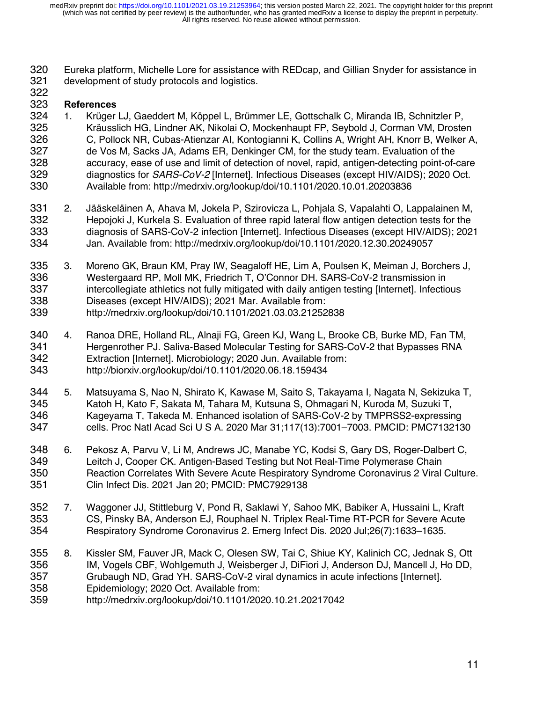Eureka platform, Michelle Lore for assistance with REDcap, and Gillian Snyder for assistance in development of study protocols and logistics.

### 

### **References**

- 1. Krüger LJ, Gaeddert M, Köppel L, Brümmer LE, Gottschalk C, Miranda IB, Schnitzler P, Kräusslich HG, Lindner AK, Nikolai O, Mockenhaupt FP, Seybold J, Corman VM, Drosten C, Pollock NR, Cubas-Atienzar AI, Kontogianni K, Collins A, Wright AH, Knorr B, Welker A, de Vos M, Sacks JA, Adams ER, Denkinger CM, for the study team. Evaluation of the accuracy, ease of use and limit of detection of novel, rapid, antigen-detecting point-of-care diagnostics for *SARS-CoV-2* [Internet]. Infectious Diseases (except HIV/AIDS); 2020 Oct. Available from: http://medrxiv.org/lookup/doi/10.1101/2020.10.01.20203836
- 2. Jääskeläinen A, Ahava M, Jokela P, Szirovicza L, Pohjala S, Vapalahti O, Lappalainen M, Hepojoki J, Kurkela S. Evaluation of three rapid lateral flow antigen detection tests for the diagnosis of SARS-CoV-2 infection [Internet]. Infectious Diseases (except HIV/AIDS); 2021 Jan. Available from: http://medrxiv.org/lookup/doi/10.1101/2020.12.30.20249057
- 3. Moreno GK, Braun KM, Pray IW, Seagaloff HE, Lim A, Poulsen K, Meiman J, Borchers J, Westergaard RP, Moll MK, Friedrich T, O'Connor DH. SARS-CoV-2 transmission in intercollegiate athletics not fully mitigated with daily antigen testing [Internet]. Infectious Diseases (except HIV/AIDS); 2021 Mar. Available from: http://medrxiv.org/lookup/doi/10.1101/2021.03.03.21252838
- 4. Ranoa DRE, Holland RL, Alnaji FG, Green KJ, Wang L, Brooke CB, Burke MD, Fan TM, Hergenrother PJ. Saliva-Based Molecular Testing for SARS-CoV-2 that Bypasses RNA Extraction [Internet]. Microbiology; 2020 Jun. Available from: http://biorxiv.org/lookup/doi/10.1101/2020.06.18.159434
- 5. Matsuyama S, Nao N, Shirato K, Kawase M, Saito S, Takayama I, Nagata N, Sekizuka T, Katoh H, Kato F, Sakata M, Tahara M, Kutsuna S, Ohmagari N, Kuroda M, Suzuki T, Kageyama T, Takeda M. Enhanced isolation of SARS-CoV-2 by TMPRSS2-expressing cells. Proc Natl Acad Sci U S A. 2020 Mar 31;117(13):7001–7003. PMCID: PMC7132130
- 6. Pekosz A, Parvu V, Li M, Andrews JC, Manabe YC, Kodsi S, Gary DS, Roger-Dalbert C, Leitch J, Cooper CK. Antigen-Based Testing but Not Real-Time Polymerase Chain Reaction Correlates With Severe Acute Respiratory Syndrome Coronavirus 2 Viral Culture. Clin Infect Dis. 2021 Jan 20; PMCID: PMC7929138
- 7. Waggoner JJ, Stittleburg V, Pond R, Saklawi Y, Sahoo MK, Babiker A, Hussaini L, Kraft CS, Pinsky BA, Anderson EJ, Rouphael N. Triplex Real-Time RT-PCR for Severe Acute Respiratory Syndrome Coronavirus 2. Emerg Infect Dis. 2020 Jul;26(7):1633–1635.
- 8. Kissler SM, Fauver JR, Mack C, Olesen SW, Tai C, Shiue KY, Kalinich CC, Jednak S, Ott IM, Vogels CBF, Wohlgemuth J, Weisberger J, DiFiori J, Anderson DJ, Mancell J, Ho DD, Grubaugh ND, Grad YH. SARS-CoV-2 viral dynamics in acute infections [Internet]. Epidemiology; 2020 Oct. Available from:
- http://medrxiv.org/lookup/doi/10.1101/2020.10.21.20217042